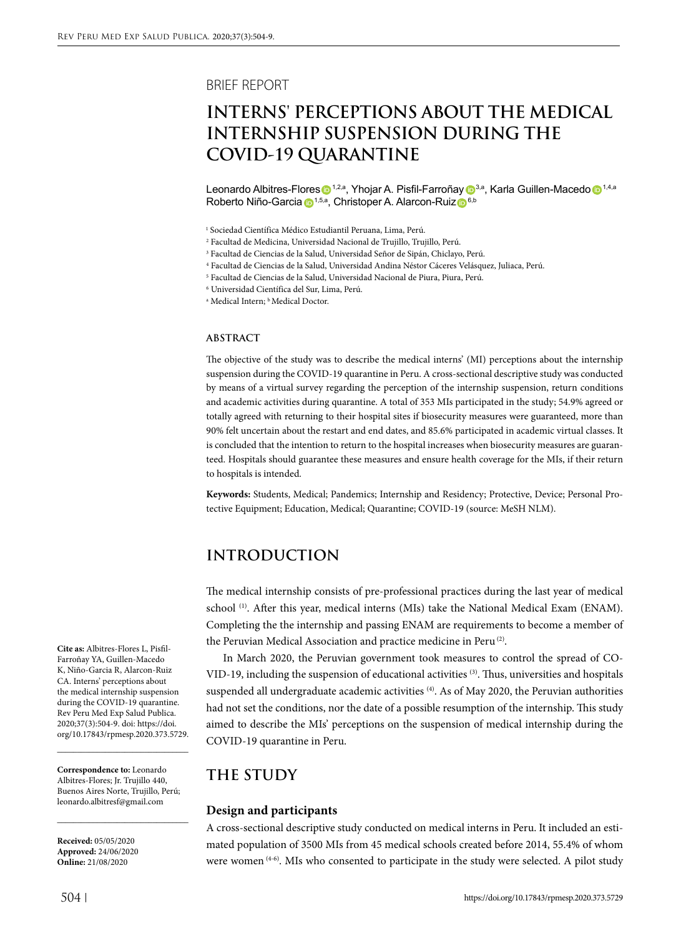### BRIEF REPORT

# **INTERNS' PERCEPTIONS ABOUT THE MEDICAL INTERNSHIP SUSPENSION DURING THE COVID-19 QUARANTINE**

Leonardo Albitres-Flores **1,2,a**, Yhojar A. Pisfil-Farroña[y](https://orcid.org/0000-0002-8863-0327) **1,3,a**, Karla Guillen-Maced[o 1](https://orcid.org/0000-0002-7175-0904),4,a Roberto Niño-Garci[a](https://orcid.org/0000-0003-4396-4224) <sup>1,5,a</sup>, Christoper A. Alarcon-Ruiz <sup>6,b</sup>

6 Universidad Científica del Sur, Lima, Perú.

<sup>a</sup> Medical Intern; <sup>b</sup> Medical Doctor.

#### **ABSTRACT**

The objective of the study was to describe the medical interns' (MI) perceptions about the internship suspension during the COVID-19 quarantine in Peru. A cross-sectional descriptive study was conducted by means of a virtual survey regarding the perception of the internship suspension, return conditions and academic activities during quarantine. A total of 353 MIs participated in the study; 54.9% agreed or totally agreed with returning to their hospital sites if biosecurity measures were guaranteed, more than 90% felt uncertain about the restart and end dates, and 85.6% participated in academic virtual classes. It is concluded that the intention to return to the hospital increases when biosecurity measures are guaranteed. Hospitals should guarantee these measures and ensure health coverage for the MIs, if their return to hospitals is intended.

**Keywords:** Students, Medical; Pandemics; Internship and Residency; Protective, Device; Personal Protective Equipment; Education, Medical; Quarantine; COVID-19 (source: MeSH NLM).

### **INTRODUCTION**

The medical internship consists of pre-professional practices during the last year of medical school<sup>(1)</sup>. After this year, medical interns (MIs) take the National Medical Exam (ENAM). Completing the the internship and passing ENAM are requirements to become a member of the Peruvian Medical Association and practice medicine in Peru<sup>(2)</sup>.

In March 2020, the Peruvian government took measures to control the spread of CO-VID-19, including the suspension of educational activities <sup>(3)</sup>. Thus, universities and hospitals suspended all undergraduate academic activities <sup>(4)</sup>. As of May 2020, the Peruvian authorities had not set the conditions, nor the date of a possible resumption of the internship. This study aimed to describe the MIs' perceptions on the suspension of medical internship during the COVID-19 quarantine in Peru.

### **THE STUDY**

#### **Design and participants**

A cross-sectional descriptive study conducted on medical interns in Peru. It included an estimated population of 3500 MIs from 45 medical schools created before 2014, 55.4% of whom were women (4-6). MIs who consented to participate in the study were selected. A pilot study

**Cite as:** Albitres-Flores L, Pisfil-Farroñay YA, Guillen-Macedo K, Niño-Garcia R, Alarcon-Ruiz CA. Interns' perceptions about the medical internship suspension during the COVID-19 quarantine. Rev Peru Med Exp Salud Publica. 2020;37(3):504-9. doi: https://doi. org/10.17843/rpmesp.2020.373.5729.

**Correspondence to:** Leonardo Albitres-Flores; Jr. Trujillo 440, Buenos Aires Norte, Trujillo, Perú; [leonardo.albitresf@gmail.com](about:blank)

\_\_\_\_\_\_\_\_\_\_\_\_\_\_\_\_\_\_\_\_\_\_\_\_\_\_\_\_\_\_\_\_\_

\_\_\_\_\_\_\_\_\_\_\_\_\_\_\_\_\_\_\_\_\_\_\_\_\_\_\_\_\_\_\_\_\_

**Received:** 05/05/2020 **Approved:** 24/06/2020 **Online:** 21/08/2020

<sup>1</sup> Sociedad Científica Médico Estudiantil Peruana, Lima, Perú.

<sup>2</sup> Facultad de Medicina, Universidad Nacional de Trujillo, Trujillo, Perú.

<sup>3</sup> Facultad de Ciencias de la Salud, Universidad Señor de Sipán, Chiclayo, Perú.

<sup>4</sup> Facultad de Ciencias de la Salud, Universidad Andina Néstor Cáceres Velásquez, Juliaca, Perú.

<sup>5</sup> Facultad de Ciencias de la Salud, Universidad Nacional de Piura, Piura, Perú.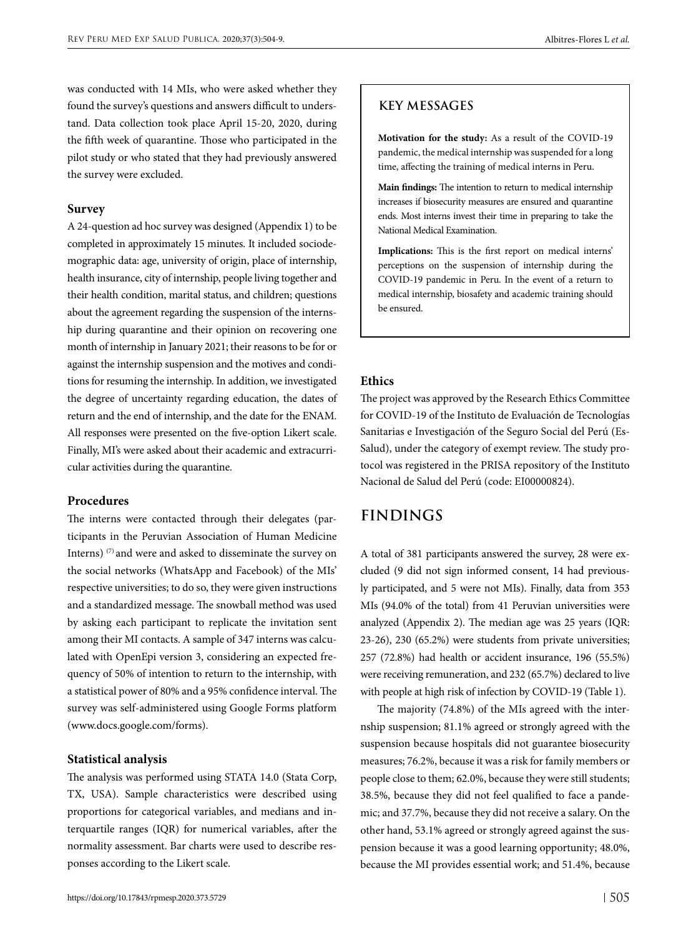was conducted with 14 MIs, who were asked whether they found the survey's questions and answers difficult to understand. Data collection took place April 15-20, 2020, during the fifth week of quarantine. Those who participated in the pilot study or who stated that they had previously answered the survey were excluded.

#### **Survey**

A 24-question ad hoc survey was designed (Appendix 1) to be completed in approximately 15 minutes. It included sociodemographic data: age, university of origin, place of internship, health insurance, city of internship, people living together and their health condition, marital status, and children; questions about the agreement regarding the suspension of the internship during quarantine and their opinion on recovering one month of internship in January 2021; their reasons to be for or against the internship suspension and the motives and conditions for resuming the internship. In addition, we investigated the degree of uncertainty regarding education, the dates of return and the end of internship, and the date for the ENAM. All responses were presented on the five-option Likert scale. Finally, MI's were asked about their academic and extracurricular activities during the quarantine.

### **Procedures**

The interns were contacted through their delegates (participants in the Peruvian Association of Human Medicine Interns)<sup>(7)</sup> and were and asked to disseminate the survey on the social networks (WhatsApp and Facebook) of the MIs' respective universities; to do so, they were given instructions and a standardized message. The snowball method was used by asking each participant to replicate the invitation sent among their MI contacts. A sample of 347 interns was calculated with OpenEpi version 3, considering an expected frequency of 50% of intention to return to the internship, with a statistical power of 80% and a 95% confidence interval. The survey was self-administered using Google Forms platform (www.docs.google.com/forms).

### **Statistical analysis**

The analysis was performed using STATA 14.0 (Stata Corp, TX, USA). Sample characteristics were described using proportions for categorical variables, and medians and interquartile ranges (IQR) for numerical variables, after the normality assessment. Bar charts were used to describe responses according to the Likert scale.

**Motivation for the study:** As a result of the COVID-19 pandemic, the medical internship was suspended for a long time, affecting the training of medical interns in Peru.

**Main findings:** The intention to return to medical internship increases if biosecurity measures are ensured and quarantine ends. Most interns invest their time in preparing to take the National Medical Examination.

**Implications:** This is the first report on medical interns' perceptions on the suspension of internship during the COVID-19 pandemic in Peru. In the event of a return to medical internship, biosafety and academic training should be ensured.

#### **Ethics**

The project was approved by the Research Ethics Committee for COVID-19 of the Instituto de Evaluación de Tecnologías Sanitarias e Investigación of the Seguro Social del Perú (Es-Salud), under the category of exempt review. The study protocol was registered in the PRISA repository of the Instituto Nacional de Salud del Perú (code: EI00000824).

### **FINDINGS**

A total of 381 participants answered the survey, 28 were excluded (9 did not sign informed consent, 14 had previously participated, and 5 were not MIs). Finally, data from 353 MIs (94.0% of the total) from 41 Peruvian universities were analyzed (Appendix 2). The median age was 25 years (IQR: 23-26), 230 (65.2%) were students from private universities; 257 (72.8%) had health or accident insurance, 196 (55.5%) were receiving remuneration, and 232 (65.7%) declared to live with people at high risk of infection by COVID-19 (Table 1).

The majority (74.8%) of the MIs agreed with the internship suspension; 81.1% agreed or strongly agreed with the suspension because hospitals did not guarantee biosecurity measures; 76.2%, because it was a risk for family members or people close to them; 62.0%, because they were still students; 38.5%, because they did not feel qualified to face a pandemic; and 37.7%, because they did not receive a salary. On the other hand, 53.1% agreed or strongly agreed against the suspension because it was a good learning opportunity; 48.0%, because the MI provides essential work; and 51.4%, because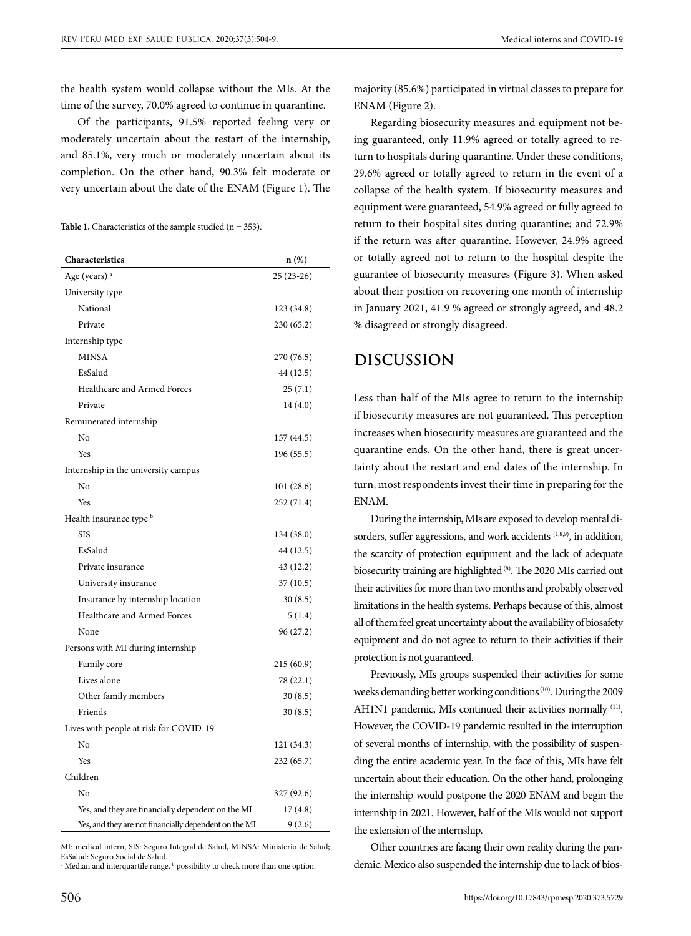the health system would collapse without the MIs. At the time of the survey, 70.0% agreed to continue in quarantine.

Of the participants, 91.5% reported feeling very or moderately uncertain about the restart of the internship, and 85.1%, very much or moderately uncertain about its completion. On the other hand, 90.3% felt moderate or very uncertain about the date of the ENAM (Figure 1). The

Table 1. Characteristics of the sample studied (n = 353).

| Characteristics                                       | n (%)       |
|-------------------------------------------------------|-------------|
| Age (years) <sup>a</sup>                              | $25(23-26)$ |
| University type                                       |             |
| National                                              | 123 (34.8)  |
| Private                                               | 230(65.2)   |
| Internship type                                       |             |
| <b>MINSA</b>                                          | 270 (76.5)  |
| EsSalud                                               | 44 (12.5)   |
| Healthcare and Armed Forces                           | 25(7.1)     |
| Private                                               | 14(4.0)     |
| Remunerated internship                                |             |
| No                                                    | 157 (44.5)  |
| Yes                                                   | 196 (55.5)  |
| Internship in the university campus                   |             |
| No                                                    | 101(28.6)   |
| Yes                                                   | 252 (71.4)  |
| Health insurance type b                               |             |
| <b>SIS</b>                                            | 134 (38.0)  |
| EsSalud                                               | 44 (12.5)   |
| Private insurance                                     | 43 (12.2)   |
| University insurance                                  | 37 (10.5)   |
| Insurance by internship location                      | 30(8.5)     |
| Healthcare and Armed Forces                           | 5(1.4)      |
| None                                                  | 96 (27.2)   |
| Persons with MI during internship                     |             |
| Family core                                           | 215(60.9)   |
| Lives alone                                           | 78 (22.1)   |
| Other family members                                  | 30(8.5)     |
| Friends                                               | 30(8.5)     |
| Lives with people at risk for COVID-19                |             |
| No                                                    | 121 (34.3)  |
| Yes                                                   | 232 (65.7)  |
| Children                                              |             |
| No                                                    | 327 (92.6)  |
| Yes, and they are financially dependent on the MI     | 17(4.8)     |
| Yes, and they are not financially dependent on the MI | 9(2.6)      |

MI: medical intern, SIS: Seguro Integral de Salud, MINSA: Ministerio de Salud; EsSalud: Seguro Social de Salud.

<sup>a</sup> Median and interquartile range, <sup>b</sup> possibility to check more than one option.

506

majority (85.6%) participated in virtual classes to prepare for ENAM (Figure 2).

Regarding biosecurity measures and equipment not being guaranteed, only 11.9% agreed or totally agreed to return to hospitals during quarantine. Under these conditions, 29.6% agreed or totally agreed to return in the event of a collapse of the health system. If biosecurity measures and equipment were guaranteed, 54.9% agreed or fully agreed to return to their hospital sites during quarantine; and 72.9% if the return was after quarantine. However, 24.9% agreed or totally agreed not to return to the hospital despite the guarantee of biosecurity measures (Figure 3). When asked about their position on recovering one month of internship in January 2021, 41.9 % agreed or strongly agreed, and 48.2 % disagreed or strongly disagreed.

# **DISCUSSION**

Less than half of the MIs agree to return to the internship if biosecurity measures are not guaranteed. This perception increases when biosecurity measures are guaranteed and the quarantine ends. On the other hand, there is great uncertainty about the restart and end dates of the internship. In turn, most respondents invest their time in preparing for the ENAM.

During the internship, MIs are exposed to develop mental disorders, suffer aggressions, and work accidents  $(1,8,9)$ , in addition, the scarcity of protection equipment and the lack of adequate biosecurity training are highlighted (8). The 2020 MIs carried out their activities for more than two months and probably observed limitations in the health systems. Perhaps because of this, almost all of them feel great uncertainty about the availability of biosafety equipment and do not agree to return to their activities if their protection is not guaranteed.

Previously, MIs groups suspended their activities for some weeks demanding better working conditions (10). During the 2009 AH1N1 pandemic, MIs continued their activities normally (11). However, the COVID-19 pandemic resulted in the interruption of several months of internship, with the possibility of suspending the entire academic year. In the face of this, MIs have felt uncertain about their education. On the other hand, prolonging the internship would postpone the 2020 ENAM and begin the internship in 2021. However, half of the MIs would not support the extension of the internship.

Other countries are facing their own reality during the pandemic. Mexico also suspended the internship due to lack of bios-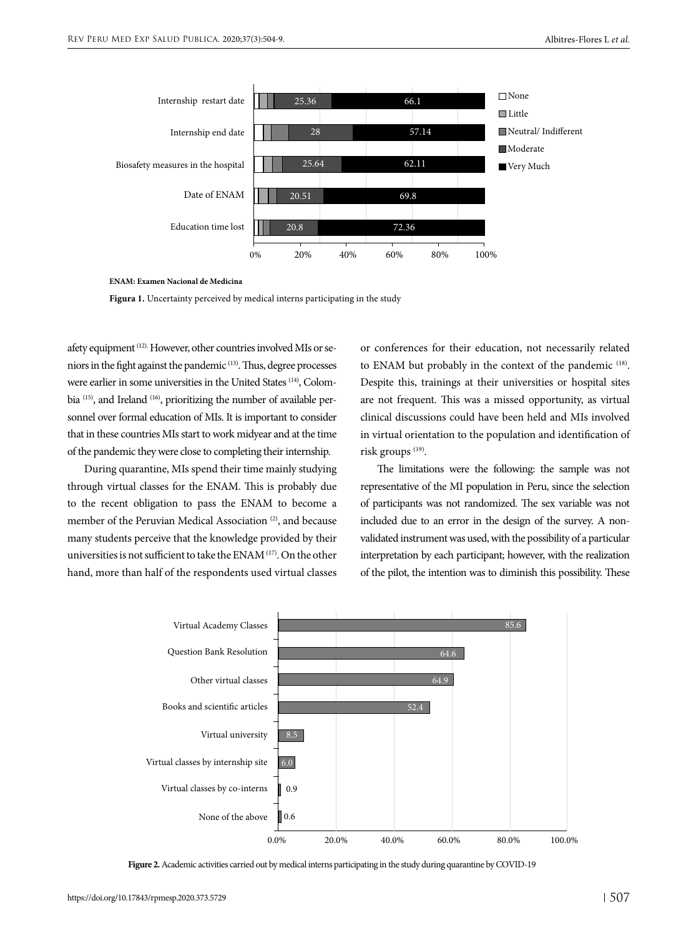

**ENAM: Examen Nacional de Medicina**



afety equipment (12). However, other countries involved MIs or seniors in the fight against the pandemic (13). Thus, degree processes were earlier in some universities in the United States (14), Colombia (15), and Ireland (16), prioritizing the number of available personnel over formal education of MIs. It is important to consider that in these countries MIs start to work midyear and at the time of the pandemic they were close to completing their internship.

During quarantine, MIs spend their time mainly studying through virtual classes for the ENAM. This is probably due to the recent obligation to pass the ENAM to become a member of the Peruvian Medical Association<sup>(2)</sup>, and because many students perceive that the knowledge provided by their universities is not sufficient to take the ENAM (17). On the other hand, more than half of the respondents used virtual classes

or conferences for their education, not necessarily related to ENAM but probably in the context of the pandemic (18). Despite this, trainings at their universities or hospital sites are not frequent. This was a missed opportunity, as virtual clinical discussions could have been held and MIs involved in virtual orientation to the population and identification of risk groups<sup>(19)</sup>.

The limitations were the following: the sample was not representative of the MI population in Peru, since the selection of participants was not randomized. The sex variable was not included due to an error in the design of the survey. A nonvalidated instrument was used, with the possibility of a particular interpretation by each participant; however, with the realization of the pilot, the intention was to diminish this possibility. These



**Figure 2.** Academic activities carried out by medical interns participating in the study during quarantine by COVID-19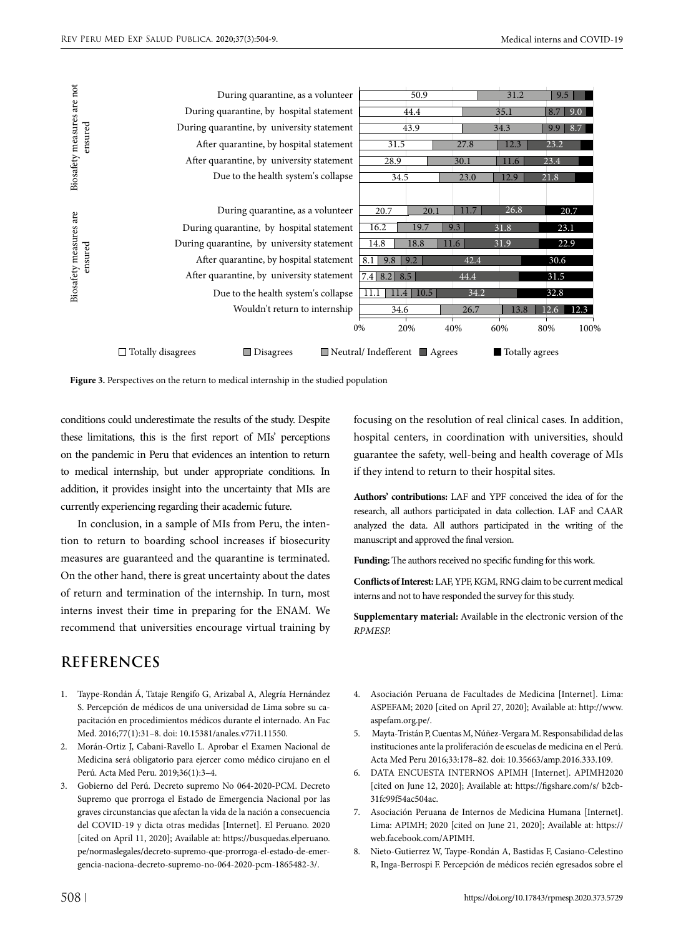|                                                                                      | During quarantine, as a volunteer            | $\overline{50.9}$                                        |      | 31.2           | 9.5          |  |
|--------------------------------------------------------------------------------------|----------------------------------------------|----------------------------------------------------------|------|----------------|--------------|--|
| Biosafety measures are not<br>ensured                                                | During quarantine, by hospital statement     | 44.4                                                     |      | 35.1           | 9.0<br>8.7   |  |
|                                                                                      | During quarantine, by university statement   | 43.9                                                     |      | 34.3           | 8.7<br>9.9   |  |
|                                                                                      | After quarantine, by hospital statement      | 31.5                                                     | 27.8 | 12.3           | 23.2         |  |
|                                                                                      | After quarantine, by university statement    | 28.9                                                     | 30.1 | 11.6           | 23.4         |  |
|                                                                                      | Due to the health system's collapse          | 34.5                                                     | 23.0 | 12.9           | 21.8         |  |
|                                                                                      |                                              |                                                          |      |                |              |  |
| Biosafety measures are<br>ensured                                                    | During quarantine, as a volunteer            | 20.7<br>20.1                                             | 11.7 | 26.8           | 20.7         |  |
|                                                                                      | During quarantine, by hospital statement     | 16.2<br>19.7                                             | 9.3  | 31.8           | 23.1         |  |
|                                                                                      | During quarantine, by university statement   | 14.8<br>11.6<br>18.8                                     |      | 31.9           | 22.9         |  |
|                                                                                      | After quarantine, by hospital statement      | 8.1<br>9.8<br>9.2                                        | 42.4 |                | 30.6         |  |
|                                                                                      | After quarantine, by university statement    | $7.4$ 8.2<br>8.5                                         | 44.4 |                | 31.5         |  |
|                                                                                      | Due to the health system's collapse          | 11.1<br>10.5<br>11.4                                     | 34.2 |                | 32.8         |  |
|                                                                                      | Wouldn't return to internship                | 34.6                                                     | 26.7 | 13.8           | 12.3<br>12.6 |  |
|                                                                                      |                                              | 0%<br>20%<br>40%                                         |      | 60%            | 80%<br>100%  |  |
|                                                                                      | $\Box$ Totally disagrees<br>$\Box$ Disagrees | $\blacksquare$ Neutral/Indefferent $\blacksquare$ Agrees |      | Totally agrees |              |  |
| Figure 3. Perspectives on the return to medical internship in the studied population |                                              |                                                          |      |                |              |  |



conditions could underestimate the results of the study. Despite these limitations, this is the first report of MIs' perceptions on the pandemic in Peru that evidences an intention to return to medical internship, but under appropriate conditions. In addition, it provides insight into the uncertainty that MIs are currently experiencing regarding their academic future.

In conclusion, in a sample of MIs from Peru, the intention to return to boarding school increases if biosecurity measures are guaranteed and the quarantine is terminated. On the other hand, there is great uncertainty about the dates of return and termination of the internship. In turn, most interns invest their time in preparing for the ENAM. We recommend that universities encourage virtual training by

# **REFERENCES**

- 1. Taype-Rondán Á, Tataje Rengifo G, Arizabal A, Alegría Hernández S. Percepción de médicos de una universidad de Lima sobre su capacitación en procedimientos médicos durante el internado. An Fac Med. 2016;77(1):31–8. doi: 10.15381/anales.v77i1.11550.
- 2. Morán-Ortiz J, Cabani-Ravello L. Aprobar el Examen Nacional de Medicina será obligatorio para ejercer como médico cirujano en el Perú. Acta Med Peru. 2019;36(1):3–4.
- 3. Gobierno del Perú. Decreto supremo No 064-2020-PCM. Decreto Supremo que prorroga el Estado de Emergencia Nacional por las graves circunstancias que afectan la vida de la nación a consecuencia del COVID-19 y dicta otras medidas [Internet]. El Peruano. 2020 [cited on April 11, 2020]; Available at: [https://busquedas.elperuano.](https://busquedas.elperuano. pe/normaslegales/decreto-supremo-que-prorroga-el-estado-de-emergencia-naciona-decreto-supremo-no-064-2020-pcm-1865482-3/)  [pe/normaslegales/decreto-supremo-que-prorroga-el-estado-de-emer](https://busquedas.elperuano. pe/normaslegales/decreto-supremo-que-prorroga-el-estado-de-emergencia-naciona-decreto-supremo-no-064-2020-pcm-1865482-3/)[gencia-naciona-decreto-supremo-no-064-2020-pcm-1865482-3/](https://busquedas.elperuano. pe/normaslegales/decreto-supremo-que-prorroga-el-estado-de-emergencia-naciona-decreto-supremo-no-064-2020-pcm-1865482-3/).

focusing on the resolution of real clinical cases. In addition, hospital centers, in coordination with universities, should guarantee the safety, well-being and health coverage of MIs if they intend to return to their hospital sites.

**Authors' contributions:** LAF and YPF conceived the idea of for the research, all authors participated in data collection. LAF and CAAR analyzed the data. All authors participated in the writing of the manuscript and approved the final version.

**Funding:** The authors received no specific funding for this work.

**Conflicts of Interest:** LAF, YPF, KGM, RNG claim to be current medical interns and not to have responded the survey for this study.

**Supplementary material:** Available in the electronic version of the *RPMESP.*

- 4. Asociación Peruana de Facultades de Medicina [Internet]. Lima: ASPEFAM; 2020 [cited on April 27, 2020]; Available at: [http://www.](http://www.aspefam.org.pe/) [aspefam.org.pe/.](http://www.aspefam.org.pe/)
- 5. Mayta-Tristán P, Cuentas M, Núñez-Vergara M. Responsabilidad de las instituciones ante la proliferación de escuelas de medicina en el Perú. Acta Med Peru 2016;33:178–82. doi: 10.35663/amp.2016.333.109.
- 6. DATA ENCUESTA INTERNOS APIMH [Internet]. APIMH2020 [cited on June 12, 2020]; Available at: [https://figshare.com/s/ b2cb-](https://figshare.com/s/ b2cb31fc99f54ac504ac)[31fc99f54ac504ac](https://figshare.com/s/ b2cb31fc99f54ac504ac).
- 7. Asociación Peruana de Internos de Medicina Humana [Internet]. Lima: APIMH; 2020 [cited on June 21, 2020]; Available at: [https://](https://web.facebook.com/APIMH) [web.facebook.com/APIMH.](https://web.facebook.com/APIMH)
- 8. Nieto-Gutierrez W, Taype-Rondán A, Bastidas F, Casiano-Celestino R, Inga-Berrospi F. Percepción de médicos recién egresados sobre el